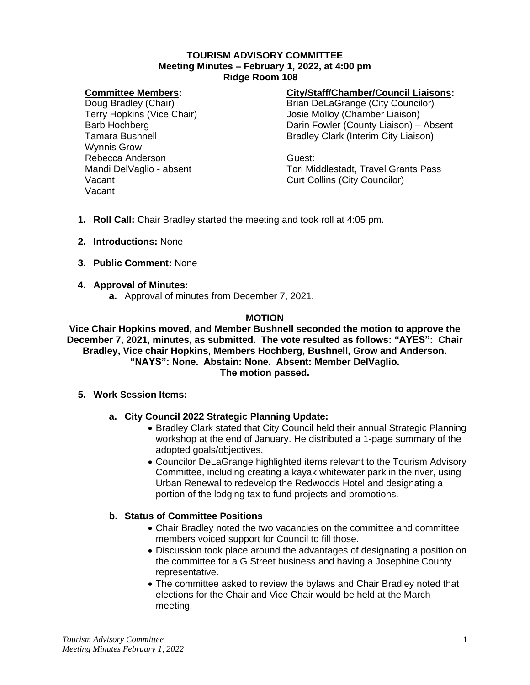#### **TOURISM ADVISORY COMMITTEE Meeting Minutes – February 1, 2022, at 4:00 pm Ridge Room 108**

#### **Committee Members:**

Doug Bradley (Chair) Terry Hopkins (Vice Chair) Barb Hochberg Tamara Bushnell Wynnis Grow Rebecca Anderson Mandi DelVaglio - absent Vacant Vacant

## **City/Staff/Chamber/Council Liaisons:**

Brian DeLaGrange (City Councilor) Josie Molloy (Chamber Liaison) Darin Fowler (County Liaison) – Absent Bradley Clark (Interim City Liaison)

Guest: Tori Middlestadt, Travel Grants Pass Curt Collins (City Councilor)

- **1. Roll Call:** Chair Bradley started the meeting and took roll at 4:05 pm.
- **2. Introductions:** None
- **3. Public Comment:** None
- **4. Approval of Minutes:**
	- **a.** Approval of minutes from December 7, 2021.

# **MOTION**

**Vice Chair Hopkins moved, and Member Bushnell seconded the motion to approve the December 7, 2021, minutes, as submitted. The vote resulted as follows: "AYES": Chair Bradley, Vice chair Hopkins, Members Hochberg, Bushnell, Grow and Anderson. "NAYS": None. Abstain: None. Absent: Member DelVaglio. The motion passed.**

- **5. Work Session Items:**
	- **a. City Council 2022 Strategic Planning Update:**
		- Bradley Clark stated that City Council held their annual Strategic Planning workshop at the end of January. He distributed a 1-page summary of the adopted goals/objectives.
		- Councilor DeLaGrange highlighted items relevant to the Tourism Advisory Committee, including creating a kayak whitewater park in the river, using Urban Renewal to redevelop the Redwoods Hotel and designating a portion of the lodging tax to fund projects and promotions.

### **b. Status of Committee Positions**

- Chair Bradley noted the two vacancies on the committee and committee members voiced support for Council to fill those.
- Discussion took place around the advantages of designating a position on the committee for a G Street business and having a Josephine County representative.
- The committee asked to review the bylaws and Chair Bradley noted that elections for the Chair and Vice Chair would be held at the March meeting.